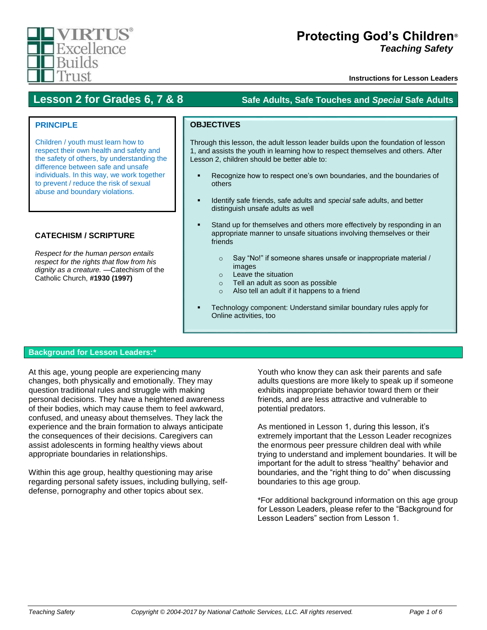

# **Protecting God's Children***®* **Teaching Safety**

**Instructions for Lesson Leaders**

# **Lesson 2 for Grades 6, 7 & 8 Safe Adults, Safe Touches and** *Special* **Safe Adults**

# **PRINCIPLE**

Children / youth must learn how to respect their own health and safety and the safety of others, by understanding the difference between safe and unsafe individuals. In this way, we work together to prevent / reduce the risk of sexual abuse and boundary violations.

# **CATECHISM / SCRIPTURE**

*Respect for the human person entails respect for the rights that flow from his dignity as a creature. —*Catechism of the Catholic Church, **#1930 (1997)**

# **OBJECTIVES**

Through this lesson, the adult lesson leader builds upon the foundation of lesson 1, and assists the youth in learning how to respect themselves and others. After Lesson 2, children should be better able to:

- Recognize how to respect one's own boundaries, and the boundaries of others
- Identify safe friends, safe adults and *special* safe adults, and better distinguish unsafe adults as well
- Stand up for themselves and others more effectively by responding in an appropriate manner to unsafe situations involving themselves or their friends
	- o Say "No!" if someone shares unsafe or inappropriate material / images
	- o Leave the situation
	- o Tell an adult as soon as possible
	- o Also tell an adult if it happens to a friend
- Technology component: Understand similar boundary rules apply for Online activities, too

## **Background for Lesson Leaders:\***

At this age, young people are experiencing many changes, both physically and emotionally. They may question traditional rules and struggle with making personal decisions. They have a heightened awareness of their bodies, which may cause them to feel awkward, confused, and uneasy about themselves. They lack the experience and the brain formation to always anticipate the consequences of their decisions. Caregivers can assist adolescents in forming healthy views about appropriate boundaries in relationships.

Within this age group, healthy questioning may arise regarding personal safety issues, including bullying, selfdefense, pornography and other topics about sex.

Youth who know they can ask their parents and safe adults questions are more likely to speak up if someone exhibits inappropriate behavior toward them or their friends, and are less attractive and vulnerable to potential predators.

As mentioned in Lesson 1, during this lesson, it's extremely important that the Lesson Leader recognizes the enormous peer pressure children deal with while trying to understand and implement boundaries. It will be important for the adult to stress "healthy" behavior and boundaries, and the "right thing to do" when discussing boundaries to this age group.

\*For additional background information on this age group for Lesson Leaders, please refer to the "Background for Lesson Leaders" section from Lesson 1.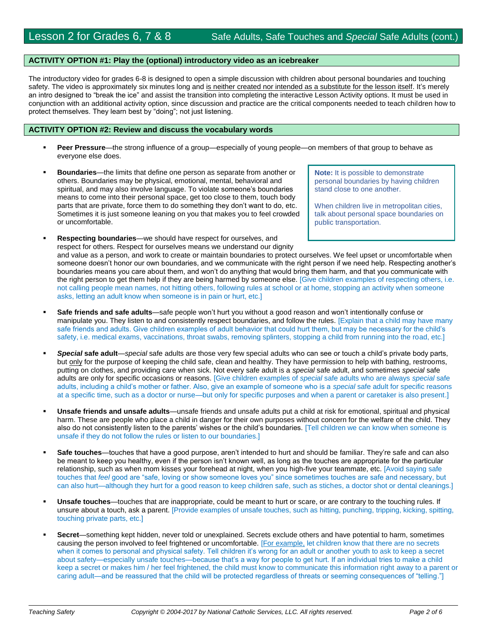### **ACTIVITY OPTION #1: Play the (optional) introductory video as an icebreaker**

The introductory video for grades 6-8 is designed to open a simple discussion with children about personal boundaries and touching safety. The video is approximately six minutes long and is neither created nor intended as a substitute for the lesson itself. It's merely an intro designed to "break the ice" and assist the transition into completing the interactive Lesson Activity options. It must be used in conjunction with an additional activity option, since discussion and practice are the critical components needed to teach children how to protect themselves. They learn best by "doing"; not just listening.

#### **ACTIVITY OPTION #2: Review and discuss the vocabulary words**

- **Peer Pressure**—the strong influence of a group—especially of young people—on members of that group to behave as everyone else does.
- **Boundaries**—the limits that define one person as separate from another or others. Boundaries may be physical, emotional, mental, behavioral and spiritual, and may also involve language. To violate someone's boundaries means to come into their personal space, get too close to them, touch body parts that are private, force them to do something they don't want to do, etc. Sometimes it is just someone leaning on you that makes you to feel crowded or uncomfortable.
- **Respecting boundaries**—we should have respect for ourselves, and respect for others. Respect for ourselves means we understand our dignity and value as a person, and work to create or maintain boundaries to protect ourselves. We feel upset or uncomfortable when someone doesn't honor our own boundaries, and we communicate with the right person if we need help. Respecting another's boundaries means you care about them, and won't do anything that would bring them harm, and that you communicate with the right person to get them help if they are being harmed by someone else. [Give children examples of respecting others, i.e. not calling people mean names, not hitting others, following rules at school or at home, stopping an activity when someone asks, letting an adult know when someone is in pain or hurt, etc.]
- **Safe friends and safe adults**—safe people won't hurt you without a good reason and won't intentionally confuse or manipulate you. They listen to and consistently respect boundaries, and follow the rules. [Explain that a child may have many safe friends and adults. Give children examples of adult behavior that could hurt them, but may be necessary for the child's safety, i.e. medical exams, vaccinations, throat swabs, removing splinters, stopping a child from running into the road, etc.]
- *Special* **safe adult**—*special* safe adults are those very few special adults who can see or touch a child's private body parts, but only for the purpose of keeping the child safe, clean and healthy. They have permission to help with bathing, restrooms, putting on clothes, and providing care when sick. Not every safe adult is a *special* safe adult, and sometimes *special* safe adults are only for specific occasions or reasons. [Give children examples of *special* safe adults who are always *special* safe adults, including a child's mother or father. Also, give an example of someone who is a *special* safe adult for specific reasons at a specific time, such as a doctor or nurse—but only for specific purposes and when a parent or caretaker is also present.]
- **Unsafe friends and unsafe adults**—unsafe friends and unsafe adults put a child at risk for emotional, spiritual and physical harm. These are people who place a child in danger for their own purposes without concern for the welfare of the child. They also do not consistently listen to the parents' wishes or the child's boundaries. [Tell children we can know when someone is unsafe if they do not follow the rules or listen to our boundaries.]
- **Safe touches**—touches that have a good purpose, aren't intended to hurt and should be familiar. They're safe and can also be meant to keep you healthy, even if the person isn't known well, as long as the touches are appropriate for the particular relationship, such as when mom kisses your forehead at night, when you high-five your teammate, etc. [Avoid saying safe touches that *feel* good are "safe, loving or show someone loves you" since sometimes touches are safe and necessary, but can also hurt—although they hurt for a good reason to keep children safe, such as stiches, a doctor shot or dental cleanings.]
- **Unsafe touches**—touches that are inappropriate, could be meant to hurt or scare, or are contrary to the touching rules. If unsure about a touch, ask a parent. [Provide examples of unsafe touches, such as hitting, punching, tripping, kicking, spitting, touching private parts, etc.]
- **Secret**—something kept hidden, never told or unexplained. Secrets exclude others and have potential to harm, sometimes causing the person involved to feel frightened or uncomfortable. [For example, let children know that there are no secrets when it comes to personal and physical safety. Tell children it's wrong for an adult or another youth to ask to keep a secret about safety—especially unsafe touches—because that's a way for people to get hurt. If an individual tries to make a child keep a secret or makes him / her feel frightened, the child must know to communicate this information right away to a parent or caring adult—and be reassured that the child will be protected regardless of threats or seeming consequences of "telling."]

**Note:** It is possible to demonstrate personal boundaries by having children stand close to one another.

When children live in metropolitan cities, talk about personal space boundaries on public transportation.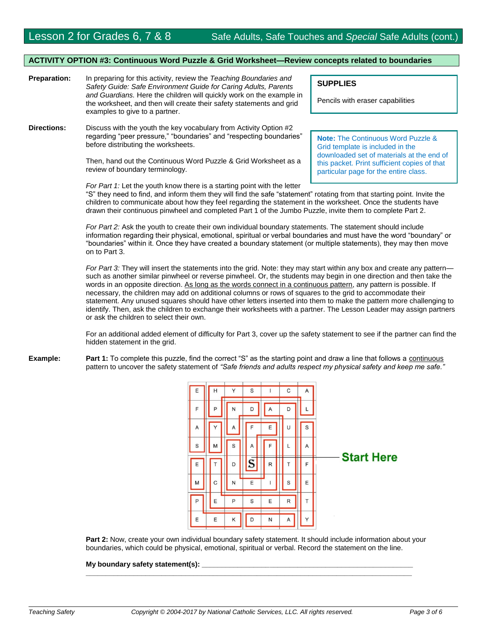#### **ACTIVITY OPTION #3: Continuous Word Puzzle & Grid Worksheet—Review concepts related to boundaries**

- **Preparation:** In preparing for this activity, review the *Teaching Boundaries and Safety Guide: Safe Environment Guide for Caring Adults, Parents and Guardians.* Here the children will quickly work on the example in the worksheet, and then will create their safety statements and grid examples to give to a partner.
- **Directions:** Discuss with the youth the key vocabulary from Activity Option #2 regarding "peer pressure," "boundaries" and "respecting boundaries" before distributing the worksheets.

Then, hand out the Continuous Word Puzzle & Grid Worksheet as a review of boundary terminology.

**SUPPLIES**

Pencils with eraser capabilities

**Note:** The Continuous Word Puzzle & Grid template is included in the downloaded set of materials at the end of this packet. Print sufficient copies of that particular page for the entire class.

*For Part 1:* Let the youth know there is a starting point with the letter "S" they need to find, and inform them they will find the safe "statement" rotating from that starting point. Invite the children to communicate about how they feel regarding the statement in the worksheet. Once the students have drawn their continuous pinwheel and completed Part 1 of the Jumbo Puzzle, invite them to complete Part 2.

*For Part 2:* Ask the youth to create their own individual boundary statements. The statement should include information regarding their physical, emotional, spiritual or verbal boundaries and must have the word "boundary" or "boundaries" within it. Once they have created a boundary statement (or multiple statements), they may then move on to Part 3.

*For Part 3:* They will insert the statements into the grid. Note: they may start within any box and create any pattern such as another similar pinwheel or reverse pinwheel. Or, the students may begin in one direction and then take the words in an opposite direction. As long as the words connect in a continuous pattern, any pattern is possible. If necessary, the children may add on additional columns or rows of squares to the grid to accommodate their statement. Any unused squares should have other letters inserted into them to make the pattern more challenging to identify. Then, ask the children to exchange their worksheets with a partner. The Lesson Leader may assign partners or ask the children to select their own.

For an additional added element of difficulty for Part 3, cover up the safety statement to see if the partner can find the hidden statement in the grid.

**Example:** Part 1: To complete this puzzle, find the correct "S" as the starting point and draw a line that follows a continuous pattern to uncover the safety statement of *"Safe friends and adults respect my physical safety and keep me safe."*



**Part 2:** Now, create your own individual boundary safety statement. It should include information about your boundaries, which could be physical, emotional, spiritual or verbal. Record the statement on the line.

**\_\_\_\_\_\_\_\_\_\_\_\_\_\_\_\_\_\_\_\_\_\_\_\_\_\_\_\_\_\_\_\_\_\_\_\_\_\_\_\_\_\_\_\_\_\_\_\_\_\_\_\_\_\_\_\_\_\_\_\_\_\_\_\_\_\_\_\_\_\_\_\_\_\_\_\_\_\_\_\_\_\_**

#### **My boundary safety statement(s):**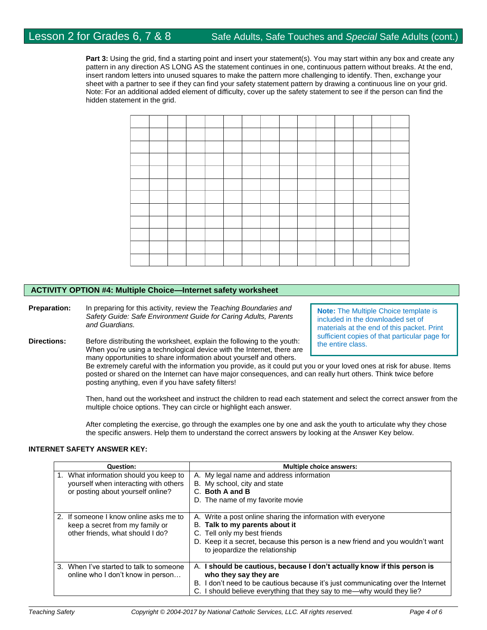**Part 3:** Using the grid, find a starting point and insert your statement(s). You may start within any box and create any pattern in any direction AS LONG AS the statement continues in one, continuous pattern without breaks. At the end, insert random letters into unused squares to make the pattern more challenging to identify. Then, exchange your sheet with a partner to see if they can find your safety statement pattern by drawing a continuous line on your grid. Note: For an additional added element of difficulty, cover up the safety statement to see if the person can find the hidden statement in the grid.

### **ACTIVITY OPTION #4: Multiple Choice—Internet safety worksheet**

**Preparation:** In preparing for this activity, review the *Teaching Boundaries and Safety Guide: Safe Environment Guide for Caring Adults, Parents and Guardians.*

**Directions:** Before distributing the worksheet, explain the following to the youth: When you're using a technological device with the Internet, there are many opportunities to share information about yourself and others.

**Note:** The Multiple Choice template is included in the downloaded set of materials at the end of this packet. Print sufficient copies of that particular page for the entire class.

Be extremely careful with the information you provide, as it could put you or your loved ones at risk for abuse. Items posted or shared on the Internet can have major consequences, and can really hurt others. Think twice before posting anything, even if you have safety filters!

Then, hand out the worksheet and instruct the children to read each statement and select the correct answer from the multiple choice options. They can circle or highlight each answer.

After completing the exercise, go through the examples one by one and ask the youth to articulate why they chose the specific answers. Help them to understand the correct answers by looking at the Answer Key below.

#### **INTERNET SAFETY ANSWER KEY:**

| <b>Question:</b>                                                                                                        | <b>Multiple choice answers:</b>                                                                                                                                                                                                                                 |  |  |  |  |  |
|-------------------------------------------------------------------------------------------------------------------------|-----------------------------------------------------------------------------------------------------------------------------------------------------------------------------------------------------------------------------------------------------------------|--|--|--|--|--|
| What information should you keep to<br>1.<br>yourself when interacting with others<br>or posting about yourself online? | A. My legal name and address information<br>B. My school, city and state<br>C. Both A and B<br>D. The name of my favorite movie                                                                                                                                 |  |  |  |  |  |
| 2. If someone I know online asks me to<br>keep a secret from my family or<br>other friends, what should I do?           | A. Write a post online sharing the information with everyone<br>B. Talk to my parents about it<br>C. Tell only my best friends<br>D. Keep it a secret, because this person is a new friend and you wouldn't want<br>to jeopardize the relationship              |  |  |  |  |  |
| 3. When I've started to talk to someone<br>online who I don't know in person                                            | A. I should be cautious, because I don't actually know if this person is<br>who they say they are<br>B. I don't need to be cautious because it's just communicating over the Internet<br>C. I should believe everything that they say to me—why would they lie? |  |  |  |  |  |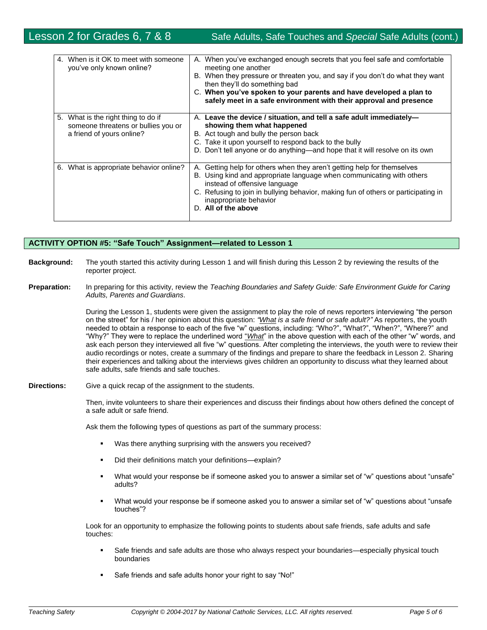| When is it OK to meet with someone<br>4.<br>you've only known online?                                      | A. When you've exchanged enough secrets that you feel safe and comfortable<br>meeting one another<br>B. When they pressure or threaten you, and say if you don't do what they want<br>then they'll do something bad<br>C. When you've spoken to your parents and have developed a plan to<br>safely meet in a safe environment with their approval and presence |
|------------------------------------------------------------------------------------------------------------|-----------------------------------------------------------------------------------------------------------------------------------------------------------------------------------------------------------------------------------------------------------------------------------------------------------------------------------------------------------------|
| 5.<br>What is the right thing to do if<br>someone threatens or bullies you or<br>a friend of yours online? | A. Leave the device / situation, and tell a safe adult immediately-<br>showing them what happened<br>B. Act tough and bully the person back<br>C. Take it upon yourself to respond back to the bully<br>D. Don't tell anyone or do anything—and hope that it will resolve on its own                                                                            |
| 6. What is appropriate behavior online?                                                                    | A. Getting help for others when they aren't getting help for themselves<br>B. Using kind and appropriate language when communicating with others<br>instead of offensive language<br>C. Refusing to join in bullying behavior, making fun of others or participating in<br>inappropriate behavior<br>D. All of the above                                        |

## **ACTIVITY OPTION #5: "Safe Touch" Assignment—related to Lesson 1**

- **Background:** The youth started this activity during Lesson 1 and will finish during this Lesson 2 by reviewing the results of the reporter project.
- **Preparation:** In preparing for this activity, review the *Teaching Boundaries and Safety Guide: Safe Environment Guide for Caring Adults, Parents and Guardians*.

During the Lesson 1, students were given the assignment to play the role of news reporters interviewing "the person on the street" for his / her opinion about this question: *"What is a safe friend or safe adult?"* As reporters, the youth needed to obtain a response to each of the five "w" questions, including: "Who?", "What?", "When?", "Where?" and "Why?" They were to replace the underlined word "*What*" in the above question with each of the other "w" words, and ask each person they interviewed all five "w" questions. After completing the interviews, the youth were to review their audio recordings or notes, create a summary of the findings and prepare to share the feedback in Lesson 2. Sharing their experiences and talking about the interviews gives children an opportunity to discuss what they learned about safe adults, safe friends and safe touches.

#### **Directions:** Give a quick recap of the assignment to the students.

Then, invite volunteers to share their experiences and discuss their findings about how others defined the concept of a safe adult or safe friend.

Ask them the following types of questions as part of the summary process:

- Was there anything surprising with the answers you received?
- Did their definitions match your definitions—explain?
- What would your response be if someone asked you to answer a similar set of "w" questions about "unsafe" adults?
- What would your response be if someone asked you to answer a similar set of "w" questions about "unsafe touches"?

Look for an opportunity to emphasize the following points to students about safe friends, safe adults and safe touches:

- Safe friends and safe adults are those who always respect your boundaries—especially physical touch boundaries
- Safe friends and safe adults honor your right to say "No!"